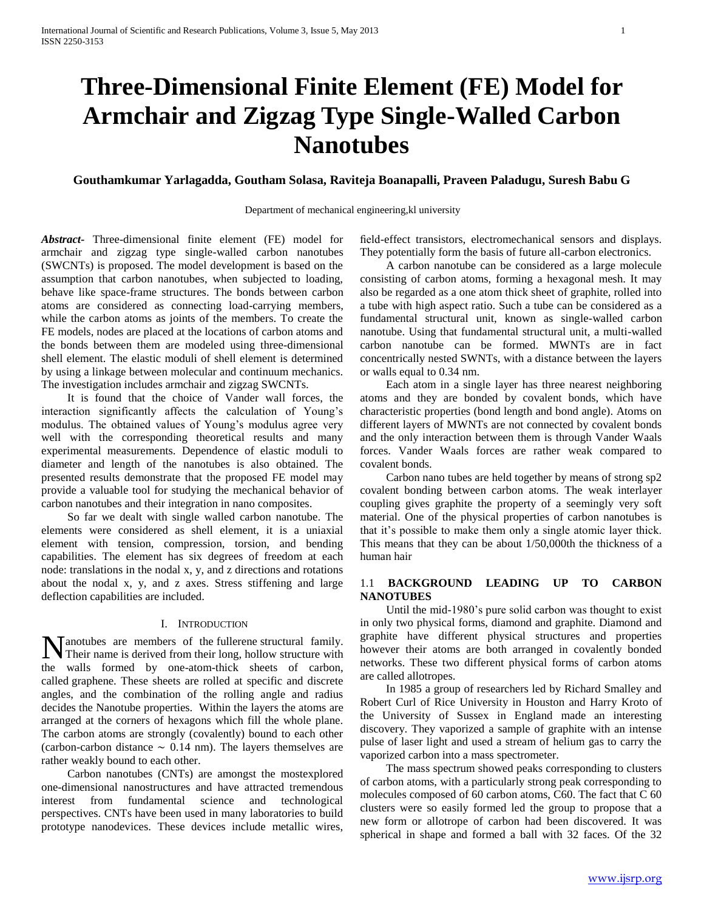# **Three-Dimensional Finite Element (FE) Model for Armchair and Zigzag Type Single-Walled Carbon Nanotubes**

# **Gouthamkumar Yarlagadda, Goutham Solasa, Raviteja Boanapalli, Praveen Paladugu, Suresh Babu G**

## Department of mechanical engineering,kl university

*Abstract***-** Three-dimensional finite element (FE) model for armchair and zigzag type single-walled carbon nanotubes (SWCNTs) is proposed. The model development is based on the assumption that carbon nanotubes, when subjected to loading, behave like space-frame structures. The bonds between carbon atoms are considered as connecting load-carrying members, while the carbon atoms as joints of the members. To create the FE models, nodes are placed at the locations of carbon atoms and the bonds between them are modeled using three-dimensional shell element. The elastic moduli of shell element is determined by using a linkage between molecular and continuum mechanics. The investigation includes armchair and zigzag SWCNTs.

 It is found that the choice of Vander wall forces, the interaction significantly affects the calculation of Young's modulus. The obtained values of Young's modulus agree very well with the corresponding theoretical results and many experimental measurements. Dependence of elastic moduli to diameter and length of the nanotubes is also obtained. The presented results demonstrate that the proposed FE model may provide a valuable tool for studying the mechanical behavior of carbon nanotubes and their integration in nano composites.

 So far we dealt with single walled carbon nanotube. The elements were considered as shell element, it is a uniaxial element with tension, compression, torsion, and bending capabilities. The element has six degrees of freedom at each node: translations in the nodal x, y, and z directions and rotations about the nodal x, y, and z axes. Stress stiffening and large deflection capabilities are included.

### I. INTRODUCTION

anotubes are members of the fullerene structural family. **N** anotubes are members of the fullerene structural family.<br>Their name is derived from their long, hollow structure with the walls formed by one-atom-thick sheets of carbon, called graphene. These sheets are rolled at specific and discrete angles, and the combination of the rolling angle and radius decides the Nanotube properties. Within the layers the atoms are arranged at the corners of hexagons which fill the whole plane. The carbon atoms are strongly (covalently) bound to each other (carbon-carbon distance  $\sim$  0.14 nm). The layers themselves are rather weakly bound to each other.

 Carbon nanotubes (CNTs) are amongst the mostexplored one-dimensional nanostructures and have attracted tremendous interest from fundamental science and technological perspectives. CNTs have been used in many laboratories to build prototype nanodevices. These devices include metallic wires,

field-effect transistors, electromechanical sensors and displays. They potentially form the basis of future all-carbon electronics.

 A carbon nanotube can be considered as a large molecule consisting of carbon atoms, forming a hexagonal mesh. It may also be regarded as a one atom thick sheet of graphite, rolled into a tube with high aspect ratio. Such a tube can be considered as a fundamental structural unit, known as single-walled carbon nanotube. Using that fundamental structural unit, a multi-walled carbon nanotube can be formed. MWNTs are in fact concentrically nested SWNTs, with a distance between the layers or walls equal to 0.34 nm.

 Each atom in a single layer has three nearest neighboring atoms and they are bonded by covalent bonds, which have characteristic properties (bond length and bond angle). Atoms on different layers of MWNTs are not connected by covalent bonds and the only interaction between them is through Vander Waals forces. Vander Waals forces are rather weak compared to covalent bonds.

 Carbon nano tubes are held together by means of strong sp2 covalent bonding between carbon atoms. The weak interlayer coupling gives graphite the property of a seemingly very soft material. One of the physical properties of carbon nanotubes is that it's possible to make them only a single atomic layer thick. This means that they can be about 1/50,000th the thickness of a human hair

## 1.1 **BACKGROUND LEADING UP TO CARBON NANOTUBES**

 Until the mid-1980's pure solid carbon was thought to exist in only two physical forms, diamond and graphite. Diamond and graphite have different physical structures and properties however their atoms are both arranged in covalently bonded networks. These two different physical forms of carbon atoms are called allotropes.

 In 1985 a group of researchers led by Richard Smalley and Robert Curl of Rice University in Houston and Harry Kroto of the University of Sussex in England made an interesting discovery. They vaporized a sample of graphite with an intense pulse of laser light and used a stream of helium gas to carry the vaporized carbon into a mass spectrometer.

 The mass spectrum showed peaks corresponding to clusters of carbon atoms, with a particularly strong peak corresponding to molecules composed of 60 carbon atoms, C60. The fact that C 60 clusters were so easily formed led the group to propose that a new form or allotrope of carbon had been discovered. It was spherical in shape and formed a ball with 32 faces. Of the 32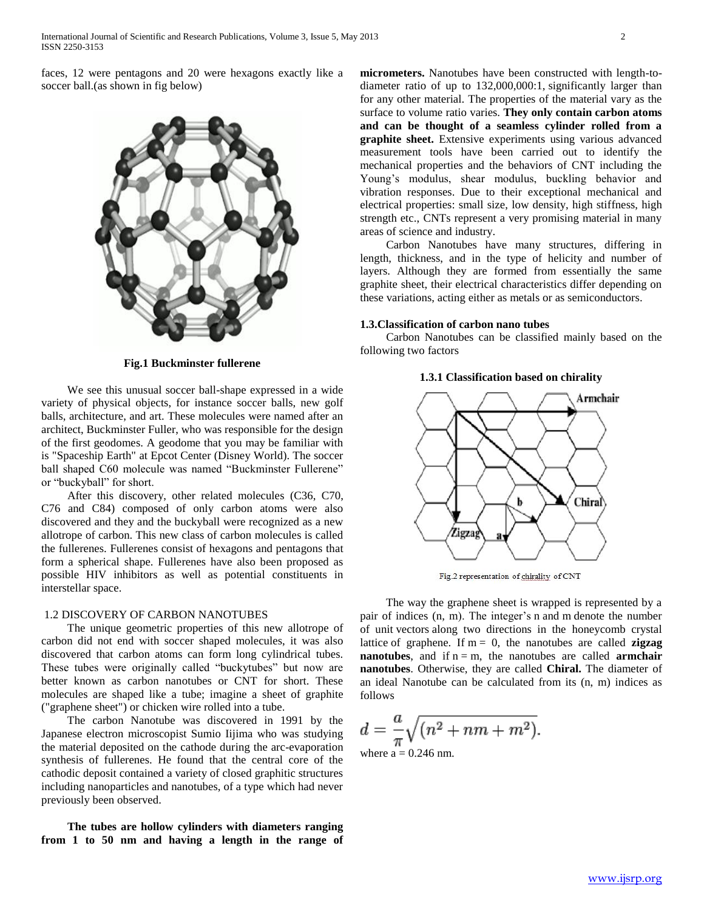faces, 12 were pentagons and 20 were hexagons exactly like a soccer ball.(as shown in fig below)



**Fig.1 Buckminster fullerene**

 We see this unusual soccer ball-shape expressed in a wide variety of physical objects, for instance soccer balls, new golf balls, architecture, and art. These molecules were named after an architect, Buckminster Fuller, who was responsible for the design of the first geodomes. A geodome that you may be familiar with is "Spaceship Earth" at Epcot Center (Disney World). The soccer ball shaped C60 molecule was named "Buckminster Fullerene" or "buckyball" for short.

 After this discovery, other related molecules (C36, C70, C76 and C84) composed of only carbon atoms were also discovered and they and the buckyball were recognized as a new allotrope of carbon. This new class of carbon molecules is called the fullerenes. Fullerenes consist of hexagons and pentagons that form a spherical shape. Fullerenes have also been proposed as possible HIV inhibitors as well as potential constituents in interstellar space.

## 1.2 DISCOVERY OF CARBON NANOTUBES

 The unique geometric properties of this new allotrope of carbon did not end with soccer shaped molecules, it was also discovered that carbon atoms can form long cylindrical tubes. These tubes were originally called "buckytubes" but now are better known as carbon nanotubes or CNT for short. These molecules are shaped like a tube; imagine a sheet of graphite ("graphene sheet") or chicken wire rolled into a tube.

 The carbon Nanotube was discovered in 1991 by the Japanese electron microscopist Sumio Iijima who was studying the material deposited on the cathode during the arc-evaporation synthesis of fullerenes. He found that the central core of the cathodic deposit contained a variety of closed graphitic structures including nanoparticles and nanotubes, of a type which had never previously been observed.

 **The tubes are hollow cylinders with diameters ranging from 1 to 50 nm and having a length in the range of**  **micrometers.** Nanotubes have been constructed with length-todiameter ratio of up to 132,000,000:1, significantly larger than for any other material. The properties of the material vary as the surface to volume ratio varies. **They only contain carbon atoms and can be thought of a seamless cylinder rolled from a graphite sheet.** Extensive experiments using various advanced measurement tools have been carried out to identify the mechanical properties and the behaviors of CNT including the Young's modulus, shear modulus, buckling behavior and vibration responses. Due to their exceptional mechanical and electrical properties: small size, low density, high stiffness, high strength etc., CNTs represent a very promising material in many areas of science and industry.

 Carbon Nanotubes have many structures, differing in length, thickness, and in the type of helicity and number of layers. Although they are formed from essentially the same graphite sheet, their electrical characteristics differ depending on these variations, acting either as metals or as semiconductors.

### **1.3.Classification of carbon nano tubes**

 Carbon Nanotubes can be classified mainly based on the following two factors

## **1.3.1 Classification based on chirality**



Fig.2 representation of chirality of CNT

 The way the graphene sheet is wrapped is represented by a pair of indices (n, m). The integer's n and m denote the number of unit vectors along two directions in the honeycomb crystal lattice of graphene. If  $m = 0$ , the nanotubes are called **zigzag nanotubes**, and if  $n = m$ , the nanotubes are called **armchair nanotubes**. Otherwise, they are called **Chiral.** The diameter of an ideal Nanotube can be calculated from its (n, m) indices as follows

$$
d = \frac{a}{\pi} \sqrt{(n^2 + nm + m^2)}.
$$
  
where a = 0.246 nm.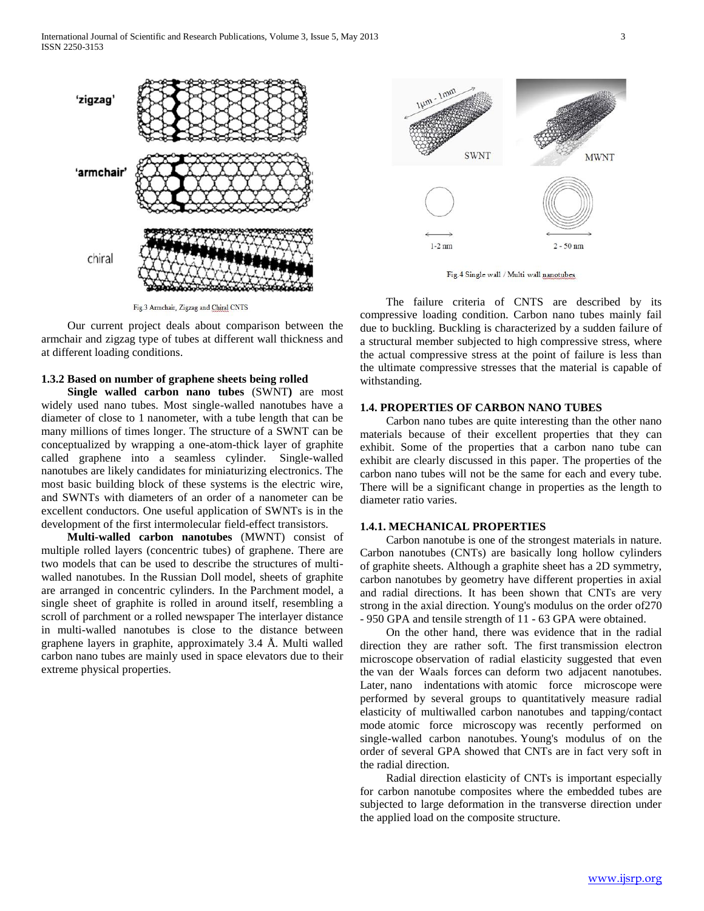

Fig.3 Armchair, Zigzag and Chiral CNTS

 Our current project deals about comparison between the armchair and zigzag type of tubes at different wall thickness and at different loading conditions.

# **1.3.2 Based on number of graphene sheets being rolled**

 **Single walled carbon nano tubes** (SWNT**)** are most widely used nano tubes. Most single-walled nanotubes have a diameter of close to 1 nanometer, with a tube length that can be many millions of times longer. The structure of a SWNT can be conceptualized by wrapping a one-atom-thick layer of graphite called graphene into a seamless cylinder. Single-walled nanotubes are likely candidates for miniaturizing electronics. The most basic building block of these systems is the electric wire, and SWNTs with diameters of an order of a nanometer can be excellent conductors. One useful application of SWNTs is in the development of the first intermolecular field-effect transistors.

 **Multi-walled carbon nanotubes** (MWNT) consist of multiple rolled layers (concentric tubes) of graphene. There are two models that can be used to describe the structures of multiwalled nanotubes. In the Russian Doll model, sheets of graphite are arranged in concentric cylinders. In the Parchment model, a single sheet of graphite is rolled in around itself, resembling a scroll of parchment or a rolled newspaper The interlayer distance in multi-walled nanotubes is close to the distance between graphene layers in graphite, approximately 3.4 Å. Multi walled carbon nano tubes are mainly used in space elevators due to their extreme physical properties.



Fig.4 Single wall / Multi wall nanotubes

 The failure criteria of CNTS are described by its compressive loading condition. Carbon nano tubes mainly fail due to buckling. Buckling is characterized by a sudden failure of a structural member subjected to high compressive stress, where the actual compressive stress at the point of failure is less than the ultimate compressive stresses that the material is capable of withstanding.

## **1.4. PROPERTIES OF CARBON NANO TUBES**

 Carbon nano tubes are quite interesting than the other nano materials because of their excellent properties that they can exhibit. Some of the properties that a carbon nano tube can exhibit are clearly discussed in this paper. The properties of the carbon nano tubes will not be the same for each and every tube. There will be a significant change in properties as the length to diameter ratio varies.

## **1.4.1. MECHANICAL PROPERTIES**

 Carbon nanotube is one of the strongest materials in nature. Carbon nanotubes (CNTs) are basically long hollow cylinders of graphite sheets. Although a graphite sheet has a 2D symmetry, carbon nanotubes by geometry have different properties in axial and radial directions. It has been shown that CNTs are very strong in the axial direction. Young's modulus on the order of270 - 950 GPA and tensile strength of 11 - 63 GPA were obtained.

 On the other hand, there was evidence that in the radial direction they are rather soft. The first transmission electron microscope observation of radial elasticity suggested that even the van der Waals forces can deform two adjacent nanotubes. Later, nano indentations with atomic force microscope were performed by several groups to quantitatively measure radial elasticity of multiwalled carbon nanotubes and tapping/contact mode atomic force microscopy was recently performed on single-walled carbon nanotubes. Young's modulus of on the order of several GPA showed that CNTs are in fact very soft in the radial direction.

 Radial direction elasticity of CNTs is important especially for carbon nanotube composites where the embedded tubes are subjected to large deformation in the transverse direction under the applied load on the composite structure.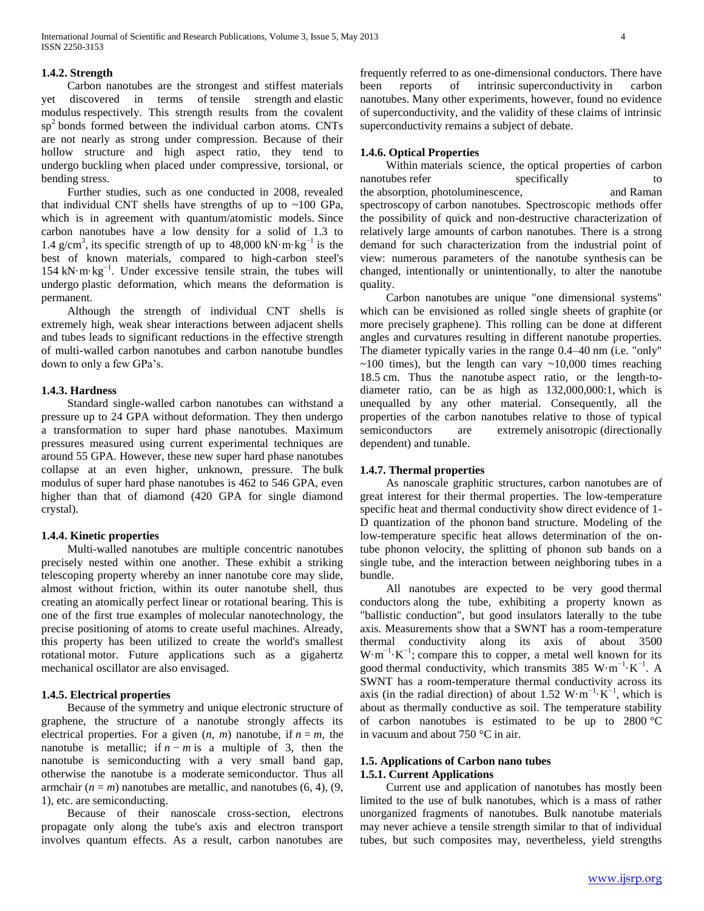## **1.4.2. Strength**

 Carbon nanotubes are the strongest and stiffest materials discovered in terms of tensile strength and elastic modulus respectively. This strength results from the covalent  $sp<sup>2</sup>$  bonds formed between the individual carbon atoms. CNTs are not nearly as strong under compression. Because of their hollow structure and high aspect ratio, they tend to undergo buckling when placed under compressive, torsional, or bending stress.

 Further studies, such as one conducted in 2008, revealed that individual CNT shells have strengths of up to  $\sim$ 100 GPa, which is in agreement with quantum/atomistic models. Since carbon nanotubes have a low density for a solid of 1.3 to 1.4 g/cm<sup>3</sup>, its specific strength of up to 48,000 kN·m·kg<sup>-1</sup> is the best of known materials, compared to high-carbon steel's 154 kN·m·kg−1. Under excessive tensile strain, the tubes will undergo plastic deformation, which means the deformation is permanent.

 Although the strength of individual CNT shells is extremely high, weak shear interactions between adjacent shells and tubes leads to significant reductions in the effective strength of multi-walled carbon nanotubes and carbon nanotube bundles down to only a few GPa's.

#### **1.4.3. Hardness**

 Standard single-walled carbon nanotubes can withstand a pressure up to 24 GPA without deformation. They then undergo a transformation to super hard phase nanotubes. Maximum pressures measured using current experimental techniques are around 55 GPA. However, these new super hard phase nanotubes collapse at an even higher, unknown, pressure. The bulk modulus of super hard phase nanotubes is 462 to 546 GPA, even higher than that of diamond (420 GPA for single diamond crystal).

## **1.4.4. Kinetic properties**

 Multi-walled nanotubes are multiple concentric nanotubes precisely nested within one another. These exhibit a striking telescoping property whereby an inner nanotube core may slide, almost without friction, within its outer nanotube shell, thus creating an atomically perfect linear or rotational bearing. This is one of the first true examples of molecular nanotechnology, the precise positioning of atoms to create useful machines. Already, this property has been utilized to create the world's smallest rotational motor. Future applications such as a gigahertz mechanical oscillator are also envisaged.

## **1.4.5. Electrical properties**

 Because of the symmetry and unique electronic structure of graphene, the structure of a nanotube strongly affects its electrical properties. For a given  $(n, m)$  nanotube, if  $n = m$ , the nanotube is metallic; if  $n - m$  is a multiple of 3, then the nanotube is semiconducting with a very small band gap, otherwise the nanotube is a moderate semiconductor. Thus all armchair  $(n = m)$  nanotubes are metallic, and nanotubes  $(6, 4)$ ,  $(9, 4)$ 1), etc. are semiconducting.

 Because of their nanoscale cross-section, electrons propagate only along the tube's axis and electron transport involves quantum effects. As a result, carbon nanotubes are

frequently referred to as one-dimensional conductors. There have been reports of intrinsic superconductivity in carbon nanotubes. Many other experiments, however, found no evidence of superconductivity, and the validity of these claims of intrinsic superconductivity remains a subject of debate.

## **1.4.6. Optical Properties**

 Within materials science, the optical properties of carbon nanotubes refer specifically to the absorption, photoluminescence, and Raman spectroscopy of carbon nanotubes. Spectroscopic methods offer the possibility of quick and non-destructive characterization of relatively large amounts of carbon nanotubes. There is a strong demand for such characterization from the industrial point of view: numerous parameters of the nanotube synthesis can be changed, intentionally or unintentionally, to alter the nanotube quality.

 Carbon nanotubes are unique "one dimensional systems" which can be envisioned as rolled single sheets of graphite (or more precisely graphene). This rolling can be done at different angles and curvatures resulting in different nanotube properties. The diameter typically varies in the range 0.4–40 nm (i.e. "only"  $\sim$ 100 times), but the length can vary  $\sim$ 10,000 times reaching 18.5 cm. Thus the nanotube aspect ratio, or the length-todiameter ratio, can be as high as 132,000,000:1, which is unequalled by any other material. Consequently, all the properties of the carbon nanotubes relative to those of typical semiconductors are extremely anisotropic (directionally dependent) and tunable.

## **1.4.7. Thermal properties**

 As nanoscale graphitic structures, carbon nanotubes are of great interest for their thermal properties. The low-temperature specific heat and thermal conductivity show direct evidence of 1- D quantization of the phonon band structure. Modeling of the low-temperature specific heat allows determination of the ontube phonon velocity, the splitting of phonon sub bands on a single tube, and the interaction between neighboring tubes in a bundle.

 All nanotubes are expected to be very good thermal conductors along the tube, exhibiting a property known as "ballistic conduction", but good insulators laterally to the tube axis. Measurements show that a SWNT has a room-temperature thermal conductivity along its axis of about 3500  $W \cdot m^{-1} \cdot K^{-1}$ ; compare this to copper, a metal well known for its good thermal conductivity, which transmits 385 W·m<sup>-1</sup>·K<sup>-1</sup>. A SWNT has a room-temperature thermal conductivity across its axis (in the radial direction) of about 1.52 W·m<sup>-1</sup>·K<sup>-1</sup>, which is about as thermally conductive as soil. The temperature stability of carbon nanotubes is estimated to be up to 2800 °C in vacuum and about 750 °C in air.

## **1.5. Applications of Carbon nano tubes 1.5.1. Current Applications**

 Current use and application of nanotubes has mostly been limited to the use of bulk nanotubes, which is a mass of rather unorganized fragments of nanotubes. Bulk nanotube materials may never achieve a tensile strength similar to that of individual tubes, but such composites may, nevertheless, yield strengths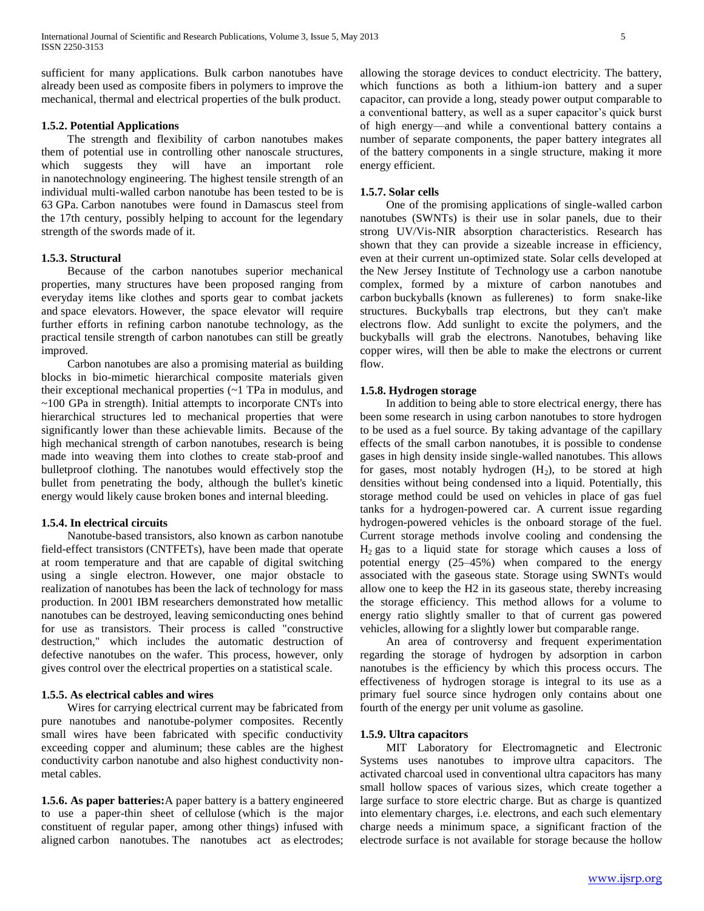sufficient for many applications. Bulk carbon nanotubes have already been used as composite fibers in polymers to improve the mechanical, thermal and electrical properties of the bulk product.

# **1.5.2. Potential Applications**

 The strength and flexibility of carbon nanotubes makes them of potential use in controlling other nanoscale structures, which suggests they will have an important role in nanotechnology engineering. The highest tensile strength of an individual multi-walled carbon nanotube has been tested to be is 63 GPa. Carbon nanotubes were found in Damascus steel from the 17th century, possibly helping to account for the legendary strength of the swords made of it.

# **1.5.3. Structural**

 Because of the carbon nanotubes superior mechanical properties, many structures have been proposed ranging from everyday items like clothes and sports gear to combat jackets and space elevators. However, the space elevator will require further efforts in refining carbon nanotube technology, as the practical tensile strength of carbon nanotubes can still be greatly improved.

 Carbon nanotubes are also a promising material as building blocks in bio-mimetic hierarchical composite materials given their exceptional mechanical properties (~1 TPa in modulus, and ~100 GPa in strength). Initial attempts to incorporate CNTs into hierarchical structures led to mechanical properties that were significantly lower than these achievable limits. Because of the high mechanical strength of carbon nanotubes, research is being made into weaving them into clothes to create stab-proof and bulletproof clothing. The nanotubes would effectively stop the bullet from penetrating the body, although the bullet's kinetic energy would likely cause broken bones and internal bleeding.

## **1.5.4. In electrical circuits**

 Nanotube-based transistors, also known as carbon nanotube field-effect transistors (CNTFETs), have been made that operate at room temperature and that are capable of digital switching using a single electron. However, one major obstacle to realization of nanotubes has been the lack of technology for mass production. In 2001 IBM researchers demonstrated how metallic nanotubes can be destroyed, leaving semiconducting ones behind for use as transistors. Their process is called "constructive destruction," which includes the automatic destruction of defective nanotubes on the wafer. This process, however, only gives control over the electrical properties on a statistical scale.

## **1.5.5. As electrical cables and wires**

 Wires for carrying electrical current may be fabricated from pure nanotubes and nanotube-polymer composites. Recently small wires have been fabricated with specific conductivity exceeding copper and aluminum; these cables are the highest conductivity carbon nanotube and also highest conductivity nonmetal cables.

**1.5.6. As paper batteries:**A paper battery is a battery engineered to use a paper-thin sheet of cellulose (which is the major constituent of regular paper, among other things) infused with aligned carbon nanotubes. The nanotubes act as electrodes; allowing the storage devices to conduct electricity. The battery, which functions as both a lithium-ion battery and a super capacitor, can provide a long, steady power output comparable to a conventional battery, as well as a super capacitor's quick burst of high energy—and while a conventional battery contains a number of separate components, the paper battery integrates all of the battery components in a single structure, making it more energy efficient.

#### **1.5.7. Solar cells**

 One of the promising applications of single-walled carbon nanotubes (SWNTs) is their use in solar panels, due to their strong UV/Vis-NIR absorption characteristics. Research has shown that they can provide a sizeable increase in efficiency, even at their current un-optimized state. Solar cells developed at the New Jersey Institute of Technology use a carbon nanotube complex, formed by a mixture of carbon nanotubes and carbon buckyballs (known as fullerenes) to form snake-like structures. Buckyballs trap electrons, but they can't make electrons flow. Add sunlight to excite the polymers, and the buckyballs will grab the electrons. Nanotubes, behaving like copper wires, will then be able to make the electrons or current flow.

## **1.5.8. Hydrogen storage**

 In addition to being able to store electrical energy, there has been some research in using carbon nanotubes to store hydrogen to be used as a fuel source. By taking advantage of the capillary effects of the small carbon nanotubes, it is possible to condense gases in high density inside single-walled nanotubes. This allows for gases, most notably hydrogen  $(H<sub>2</sub>)$ , to be stored at high densities without being condensed into a liquid. Potentially, this storage method could be used on vehicles in place of gas fuel tanks for a hydrogen-powered car. A current issue regarding hydrogen-powered vehicles is the onboard storage of the fuel. Current storage methods involve cooling and condensing the  $H<sub>2</sub>$  gas to a liquid state for storage which causes a loss of potential energy (25–45%) when compared to the energy associated with the gaseous state. Storage using SWNTs would allow one to keep the H2 in its gaseous state, thereby increasing the storage efficiency. This method allows for a volume to energy ratio slightly smaller to that of current gas powered vehicles, allowing for a slightly lower but comparable range.

 An area of controversy and frequent experimentation regarding the storage of hydrogen by adsorption in carbon nanotubes is the efficiency by which this process occurs. The effectiveness of hydrogen storage is integral to its use as a primary fuel source since hydrogen only contains about one fourth of the energy per unit volume as gasoline.

## **1.5.9. Ultra capacitors**

 MIT Laboratory for Electromagnetic and Electronic Systems uses nanotubes to improve ultra capacitors. The activated charcoal used in conventional ultra capacitors has many small hollow spaces of various sizes, which create together a large surface to store electric charge. But as charge is quantized into elementary charges, i.e. electrons, and each such elementary charge needs a minimum space, a significant fraction of the electrode surface is not available for storage because the hollow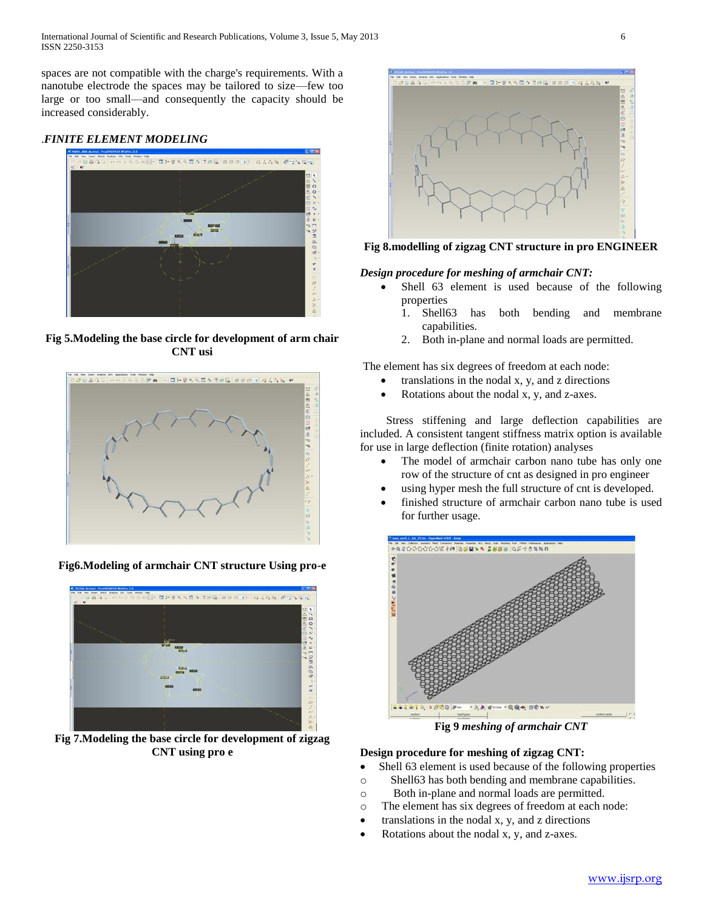spaces are not compatible with the charge's requirements. With a nanotube electrode the spaces may be tailored to size—few too large or too small—and consequently the capacity should be increased considerably.

# .*FINITE ELEMENT MODELING*



**Fig 5.Modeling the base circle for development of arm chair CNT usi**



**Fig6.Modeling of armchair CNT structure Using pro-e**



**Fig 7.Modeling the base circle for development of zigzag CNT using pro e**



**Fig 8.modelling of zigzag CNT structure in pro ENGINEER**

# *Design procedure for meshing of armchair CNT:*

- Shell 63 element is used because of the following properties
	- 1. Shell63 has both bending and membrane capabilities.
	- 2. Both in-plane and normal loads are permitted.

The element has six degrees of freedom at each node:

- translations in the nodal x, y, and z directions
- Rotations about the nodal x, y, and z-axes.

 Stress stiffening and large deflection capabilities are included. A consistent tangent stiffness matrix option is available for use in large deflection (finite rotation) analyses

- The model of armchair carbon nano tube has only one row of the structure of cnt as designed in pro engineer
- using hyper mesh the full structure of cnt is developed.
- finished structure of armchair carbon nano tube is used for further usage.



**Fig 9** *meshing of armchair CNT*

# **Design procedure for meshing of zigzag CNT:**

- Shell 63 element is used because of the following properties
- o Shell63 has both bending and membrane capabilities.
- o Both in-plane and normal loads are permitted.
- o The element has six degrees of freedom at each node:
- $\bullet$  translations in the nodal x, y, and z directions
- Rotations about the nodal x, y, and z-axes.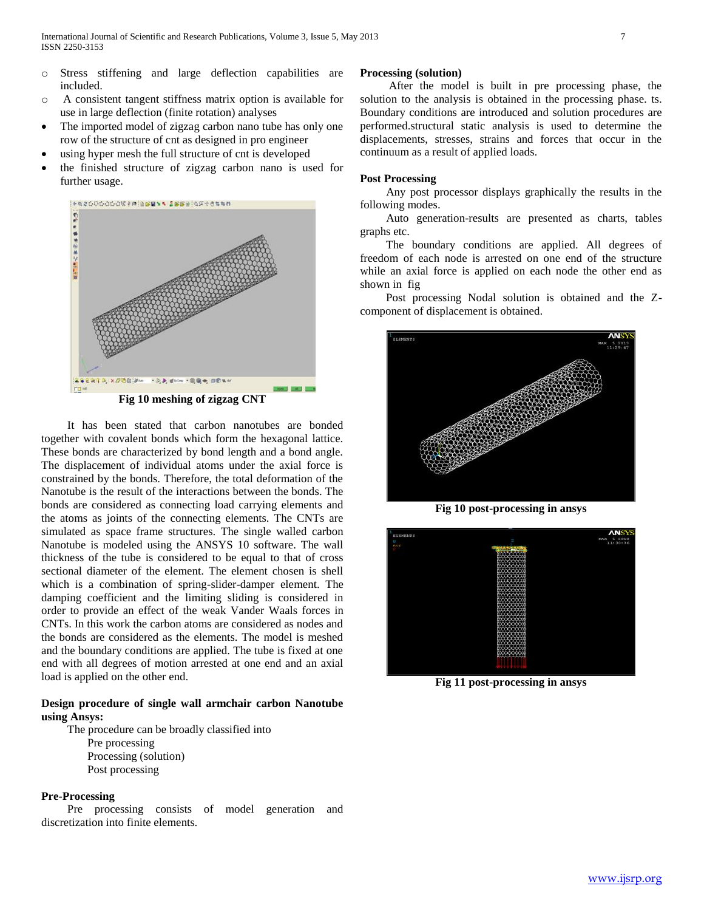- o Stress stiffening and large deflection capabilities are included.
- o A consistent tangent stiffness matrix option is available for use in large deflection (finite rotation) analyses
- The imported model of zigzag carbon nano tube has only one row of the structure of cnt as designed in pro engineer
- using hyper mesh the full structure of cnt is developed
- the finished structure of zigzag carbon nano is used for further usage.



**Fig 10 meshing of zigzag CNT**

 It has been stated that carbon nanotubes are bonded together with covalent bonds which form the hexagonal lattice. These bonds are characterized by bond length and a bond angle. The displacement of individual atoms under the axial force is constrained by the bonds. Therefore, the total deformation of the Nanotube is the result of the interactions between the bonds. The bonds are considered as connecting load carrying elements and the atoms as joints of the connecting elements. The CNTs are simulated as space frame structures. The single walled carbon Nanotube is modeled using the ANSYS 10 software. The wall thickness of the tube is considered to be equal to that of cross sectional diameter of the element. The element chosen is shell which is a combination of spring-slider-damper element. The damping coefficient and the limiting sliding is considered in order to provide an effect of the weak Vander Waals forces in CNTs. In this work the carbon atoms are considered as nodes and the bonds are considered as the elements. The model is meshed and the boundary conditions are applied. The tube is fixed at one end with all degrees of motion arrested at one end and an axial load is applied on the other end.

# **Design procedure of single wall armchair carbon Nanotube using Ansys:**

 The procedure can be broadly classified into Pre processing Processing (solution) Post processing

#### **Pre-Processing**

 Pre processing consists of model generation and discretization into finite elements.

## **Processing (solution)**

 After the model is built in pre processing phase, the solution to the analysis is obtained in the processing phase. ts. Boundary conditions are introduced and solution procedures are performed.structural static analysis is used to determine the displacements, stresses, strains and forces that occur in the continuum as a result of applied loads.

#### **Post Processing**

 Any post processor displays graphically the results in the following modes.

 Auto generation-results are presented as charts, tables graphs etc.

 The boundary conditions are applied. All degrees of freedom of each node is arrested on one end of the structure while an axial force is applied on each node the other end as shown in fig

 Post processing Nodal solution is obtained and the Zcomponent of displacement is obtained.



**Fig 10 post-processing in ansys**



**Fig 11 post-processing in ansys**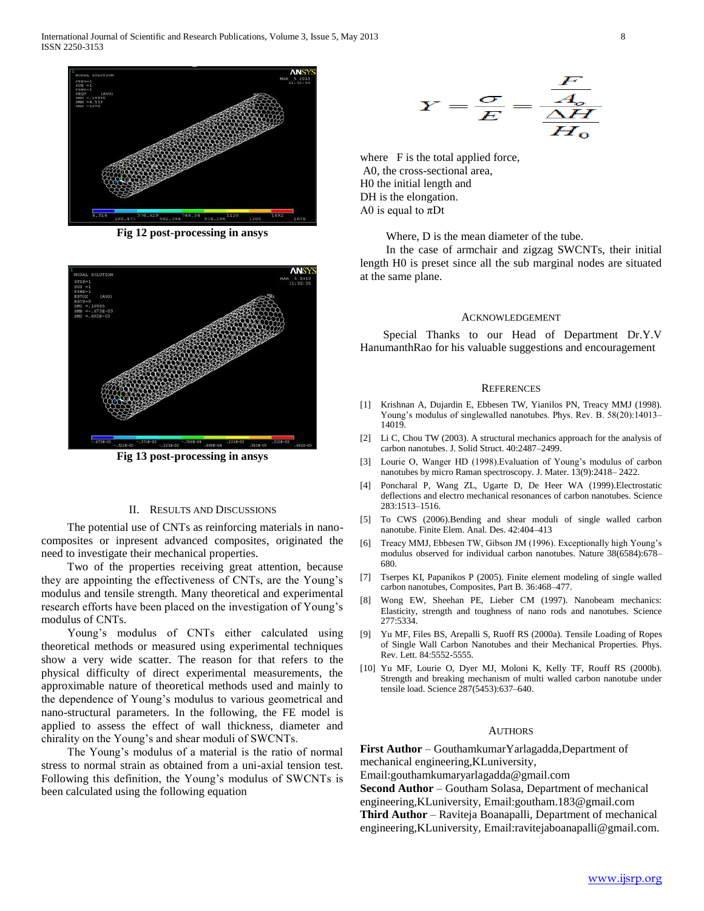

**Fig 12 post-processing in ansys**



**Fig 13 post-processing in ansys**

#### II. RESULTS AND DISCUSSIONS

 The potential use of CNTs as reinforcing materials in nanocomposites or inpresent advanced composites, originated the need to investigate their mechanical properties.

 Two of the properties receiving great attention, because they are appointing the effectiveness of CNTs, are the Young's modulus and tensile strength. Many theoretical and experimental research efforts have been placed on the investigation of Young's modulus of CNTs.

 Young's modulus of CNTs either calculated using theoretical methods or measured using experimental techniques show a very wide scatter. The reason for that refers to the physical difficulty of direct experimental measurements, the approximable nature of theoretical methods used and mainly to the dependence of Young's modulus to various geometrical and nano-structural parameters. In the following, the FE model is applied to assess the effect of wall thickness, diameter and chirality on the Young's and shear moduli of SWCNTs.

 The Young's modulus of a material is the ratio of normal stress to normal strain as obtained from a uni-axial tension test. Following this definition, the Young's modulus of SWCNTs is been calculated using the following equation

$$
Y = \frac{\sigma}{E} = \frac{\frac{F}{A_o}}{\frac{\Delta H}{H_o}}
$$

where F is the total applied force, A0, the cross-sectional area, H0 the initial length and DH is the elongation. A0 is equal to  $\pi$ Dt

Where, D is the mean diameter of the tube.

 In the case of armchair and zigzag SWCNTs, their initial length H0 is preset since all the sub marginal nodes are situated at the same plane.

#### ACKNOWLEDGEMENT

 Special Thanks to our Head of Department Dr.Y.V HanumanthRao for his valuable suggestions and encouragement

#### **REFERENCES**

- [1] Krishnan A, Dujardin E, Ebbesen TW, Yianilos PN, Treacy MMJ (1998). Young's modulus of singlewalled nanotubes. Phys. Rev. B. 58(20):14013– 14019.
- [2] Li C, Chou TW (2003). A structural mechanics approach for the analysis of carbon nanotubes. J. Solid Struct. 40:2487–2499.
- [3] Lourie O, Wanger HD (1998).Evaluation of Young's modulus of carbon nanotubes by micro Raman spectroscopy. J. Mater. 13(9):2418– 2422.
- [4] Poncharal P, Wang ZL, Ugarte D, De Heer WA (1999).Electrostatic deflections and electro mechanical resonances of carbon nanotubes. Science 283:1513–1516.
- [5] To CWS (2006).Bending and shear moduli of single walled carbon nanotube. Finite Elem. Anal. Des. 42:404–413
- [6] Treacy MMJ, Ebbesen TW, Gibson JM (1996). Exceptionally high Young's modulus observed for individual carbon nanotubes. Nature 38(6584):678– 680.
- [7] Tserpes KI, Papanikos P (2005). Finite element modeling of single walled carbon nanotubes, Composites, Part B. 36:468–477.
- [8] Wong EW, Sheehan PE, Lieber CM (1997). Nanobeam mechanics: Elasticity, strength and toughness of nano rods and nanotubes. Science 277:5334.
- [9] Yu MF, Files BS, Arepalli S, Ruoff RS (2000a). Tensile Loading of Ropes of Single Wall Carbon Nanotubes and their Mechanical Properties. Phys. Rev. Lett. 84:5552-5555.
- [10] Yu MF, Lourie O, Dyer MJ, Moloni K, Kelly TF, Rouff RS (2000b). Strength and breaking mechanism of multi walled carbon nanotube under tensile load. Science 287(5453):637–640.

#### **AUTHORS**

**First Author** – GouthamkumarYarlagadda,Department of mechanical engineering,KLuniversity,

Email:gouthamkumaryarlagadda@gmail.com

**Second Author** – Goutham Solasa, Department of mechanical

engineering,KLuniversity, Email:goutham.183@gmail.com

**Third Author** – Raviteja Boanapalli, Department of mechanical engineering,KLuniversity, Email:ravitejaboanapalli@gmail.com.